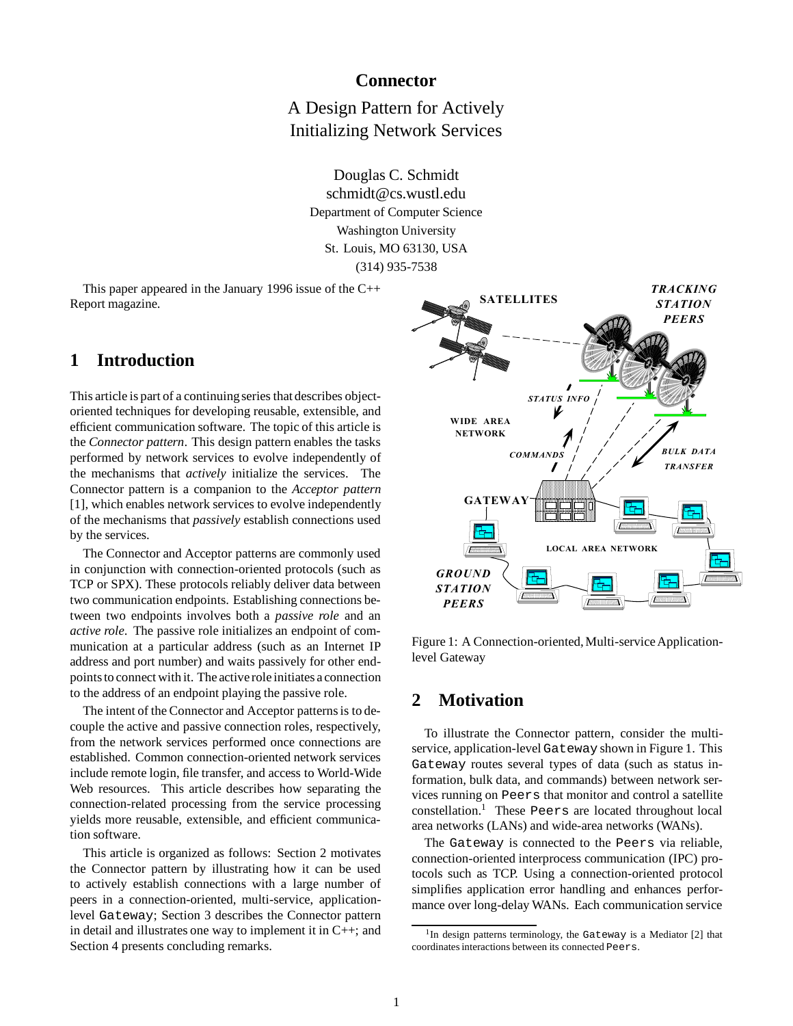## **Connector**

A Design Pattern for Actively Initializing Network Services

Douglas C. Schmidt schmidt@cs.wustl.edu Department of Computer Science Washington University St. Louis, MO 63130, USA (314) 935-7538

This paper appeared in the January 1996 issue of the C++ Report magazine.

# **1 Introduction**

This article is part of a continuing series that describes objectoriented techniques for developing reusable, extensible, and efficient communication software. The topic of this article is the *Connector pattern*. This design pattern enables the tasks performed by network services to evolve independently of the mechanisms that *actively* initialize the services. The Connector pattern is a companion to the *Acceptor pattern* [1], which enables network services to evolve independently of the mechanisms that *passively* establish connections used by the services.

The Connector and Acceptor patterns are commonly used in conjunction with connection-oriented protocols (such as TCP or SPX). These protocols reliably deliver data between two communication endpoints. Establishing connections between two endpoints involves both a *passive role* and an *active role*. The passive role initializes an endpoint of communication at a particular address (such as an Internet IP address and port number) and waits passively for other endpoints to connect with it. The active role initiates a connection to the address of an endpoint playing the passive role.

The intent of the Connector and Acceptor patterns is to decouple the active and passive connection roles, respectively, from the network services performed once connections are established. Common connection-oriented network services include remote login, file transfer, and access to World-Wide Web resources. This article describes how separating the connection-related processing from the service processing yields more reusable, extensible, and efficient communication software.

This article is organized as follows: Section 2 motivates the Connector pattern by illustrating how it can be used to actively establish connections with a large number of peers in a connection-oriented, multi-service, applicationlevel Gateway; Section 3 describes the Connector pattern in detail and illustrates one way to implement it in C++; and Section 4 presents concluding remarks.



Figure 1: A Connection-oriented, Multi-service Applicationlevel Gateway

# **2 Motivation**

To illustrate the Connector pattern, consider the multiservice, application-level Gateway shown in Figure 1. This Gateway routes several types of data (such as status information, bulk data, and commands) between network services running on Peers that monitor and control a satellite  $constant<sup>1</sup>$  These Peers are located throughout local area networks (LANs) and wide-area networks (WANs).

The Gateway is connected to the Peers via reliable, connection-oriented interprocess communication (IPC) protocols such as TCP. Using a connection-oriented protocol simplifies application error handling and enhances performance over long-delay WANs. Each communication service

<sup>&</sup>lt;sup>1</sup>In design patterns terminology, the Gateway is a Mediator [2] that coordinates interactions between its connected Peers.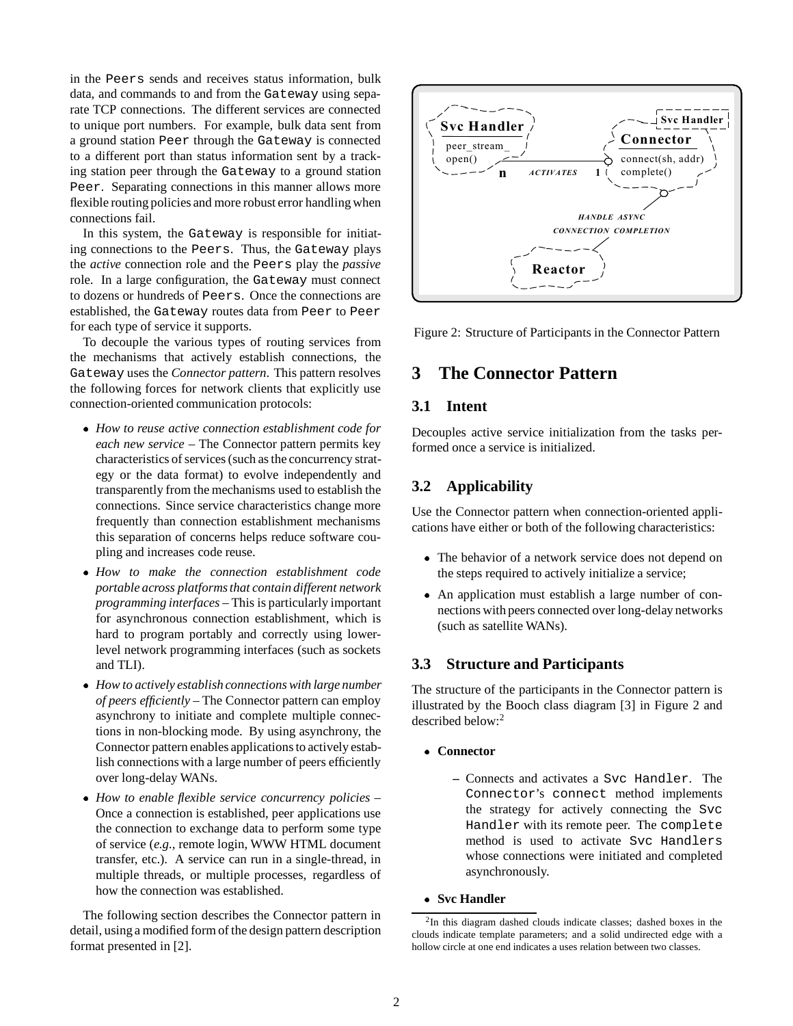in the Peers sends and receives status information, bulk data, and commands to and from the Gateway using separate TCP connections. The different services are connected to unique port numbers. For example, bulk data sent from a ground station Peer through the Gateway is connected to a different port than status information sent by a tracking station peer through the Gateway to a ground station Peer. Separating connections in this manner allows more flexible routing policies and more robust error handling when connections fail.

In this system, the Gateway is responsible for initiating connections to the Peers. Thus, the Gateway plays the *active* connection role and the Peers play the *passive* role. In a large configuration, the Gateway must connect to dozens or hundreds of Peers. Once the connections are established, the Gateway routes data from Peer to Peer for each type of service it supports.

To decouple the various types of routing services from the mechanisms that actively establish connections, the Gateway uses the *Connector pattern*. This pattern resolves the following forces for network clients that explicitly use connection-oriented communication protocols:

- *How to reuse active connection establishment code for each new service* – The Connector pattern permits key characteristics of services (such as the concurrency strategy or the data format) to evolve independently and transparently from the mechanisms used to establish the connections. Since service characteristics change more frequently than connection establishment mechanisms this separation of concerns helps reduce software coupling and increases code reuse.
- *How to make the connection establishment code portable across platforms that contain different network programming interfaces* – This is particularly important for asynchronous connection establishment, which is hard to program portably and correctly using lowerlevel network programming interfaces (such as sockets and TLI).
- *How to actively establish connections with large number of peers efficiently* – The Connector pattern can employ asynchrony to initiate and complete multiple connections in non-blocking mode. By using asynchrony, the Connector pattern enables applications to actively establish connections with a large number of peers efficiently over long-delay WANs.
- *How to enable flexible service concurrency policies* Once a connection is established, peer applications use the connection to exchange data to perform some type of service (*e.g.,* remote login, WWW HTML document transfer, etc.). A service can run in a single-thread, in multiple threads, or multiple processes, regardless of how the connection was established.

The following section describes the Connector pattern in detail, using a modified form of the design pattern description format presented in [2].



Figure 2: Structure of Participants in the Connector Pattern

# **3 The Connector Pattern**

### **3.1 Intent**

Decouples active service initialization from the tasks performed once a service is initialized.

### **3.2 Applicability**

Use the Connector pattern when connection-oriented applications have either or both of the following characteristics:

- The behavior of a network service does not depend on the steps required to actively initialize a service;
- An application must establish a large number of connections with peers connected over long-delay networks (such as satellite WANs).

### **3.3 Structure and Participants**

The structure of the participants in the Connector pattern is illustrated by the Booch class diagram [3] in Figure 2 and described below:<sup>2</sup>

- **Connector**
	- **–** Connects and activates a Svc Handler. The Connector's connect method implements the strategy for actively connecting the Svc Handler with its remote peer. The complete method is used to activate Svc Handlers whose connections were initiated and completed asynchronously.

**Svc Handler**

<sup>2</sup>In this diagram dashed clouds indicate classes; dashed boxes in the clouds indicate template parameters; and a solid undirected edge with a hollow circle at one end indicates a uses relation between two classes.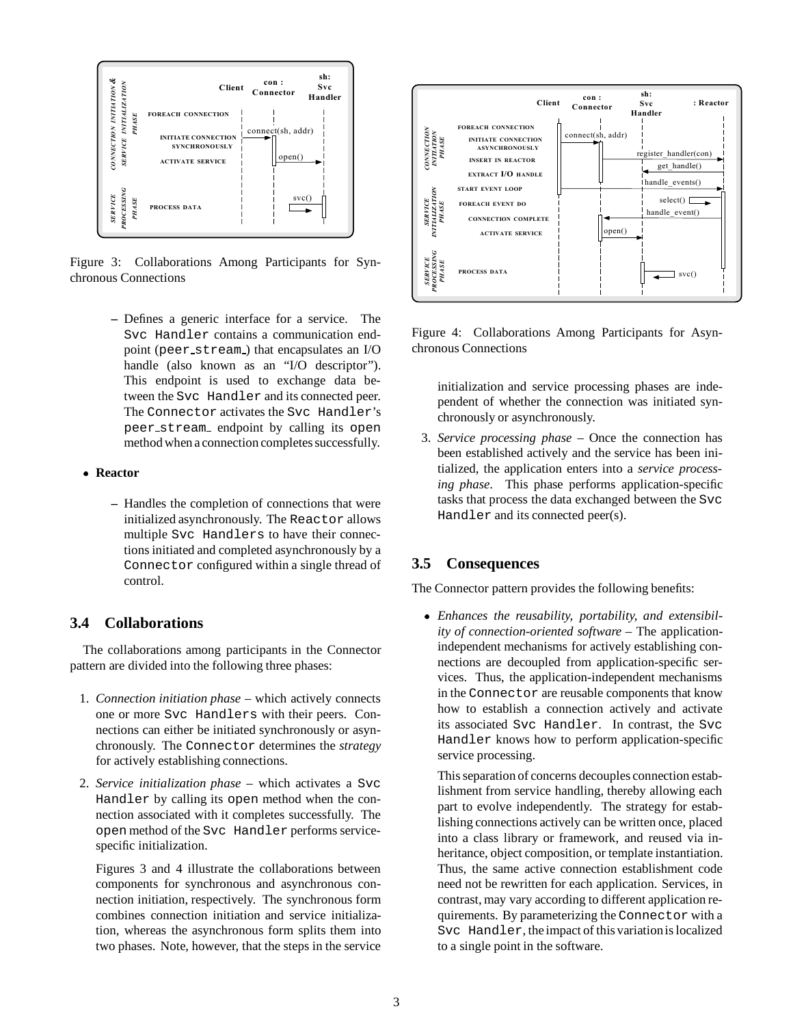

Figure 3: Collaborations Among Participants for Synchronous Connections

- **–** Defines a generic interface for a service. The Svc Handler contains a communication endpoint (peer stream ) that encapsulates an I/O handle (also known as an "I/O descriptor"). This endpoint is used to exchange data between the Svc Handler and its connected peer. The Connector activates the Svc Handler's peer stream endpoint by calling its open method when a connection completes successfully.
- **Reactor**
	- **–** Handles the completion of connections that were initialized asynchronously. The Reactor allows multiple Svc Handlers to have their connections initiated and completed asynchronously by a Connector configured within a single thread of control.

## **3.4 Collaborations**

The collaborations among participants in the Connector pattern are divided into the following three phases:

- 1. *Connection initiation phase* which actively connects one or more Svc Handlers with their peers. Connections can either be initiated synchronously or asynchronously. The Connector determines the *strategy* for actively establishing connections.
- 2. *Service initialization phase* which activates a Svc Handler by calling its open method when the connection associated with it completes successfully. The open method of the Svc Handler performs servicespecific initialization.

Figures 3 and 4 illustrate the collaborations between components for synchronous and asynchronous connection initiation, respectively. The synchronous form combines connection initiation and service initialization, whereas the asynchronous form splits them into two phases. Note, however, that the steps in the service



Figure 4: Collaborations Among Participants for Asynchronous Connections

initialization and service processing phases are independent of whether the connection was initiated synchronously or asynchronously.

3. *Service processing phase* – Once the connection has been established actively and the service has been initialized, the application enters into a *service processing phase*. This phase performs application-specific tasks that process the data exchanged between the Svc Handler and its connected peer(s).

## **3.5 Consequences**

The Connector pattern provides the following benefits:

 *Enhances the reusability, portability, and extensibility of connection-oriented software* – The applicationindependent mechanisms for actively establishing connections are decoupled from application-specific services. Thus, the application-independent mechanisms in the Connector are reusable components that know how to establish a connection actively and activate its associated Svc Handler. In contrast, the Svc Handler knows how to perform application-specific service processing.

This separation of concerns decouples connection establishment from service handling, thereby allowing each part to evolve independently. The strategy for establishing connections actively can be written once, placed into a class library or framework, and reused via inheritance, object composition, or template instantiation. Thus, the same active connection establishment code need not be rewritten for each application. Services, in contrast, may vary according to different application requirements. By parameterizing the Connector with a Svc Handler, the impact of this variationis localized to a single point in the software.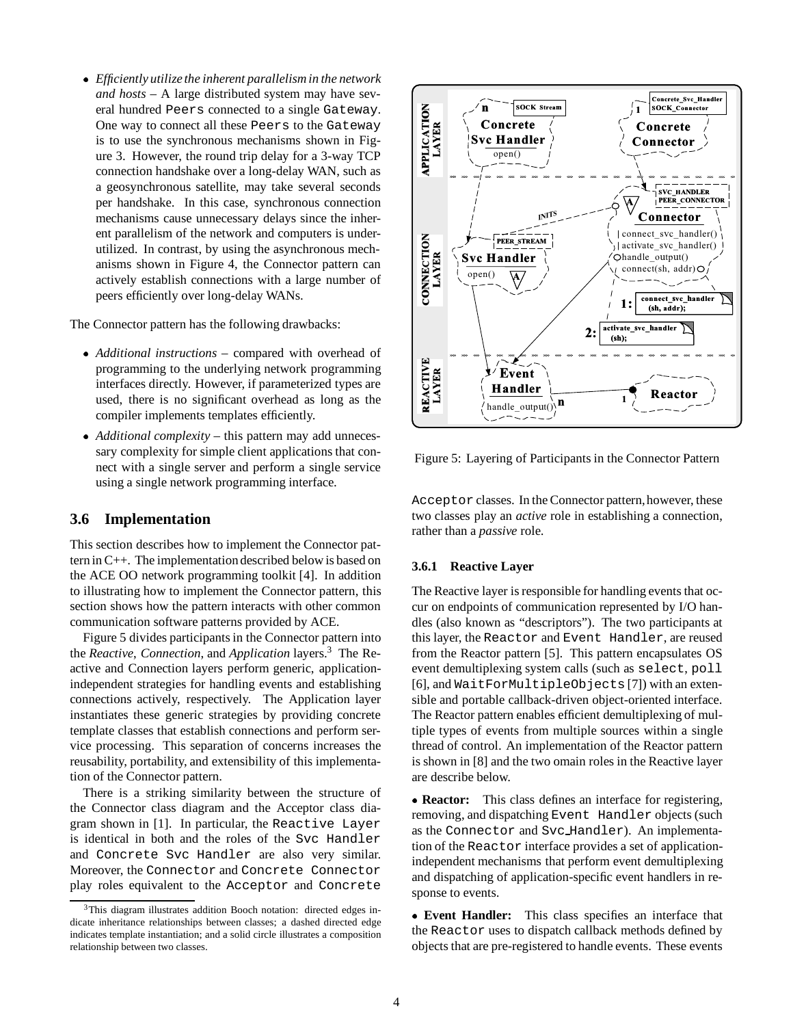*Efficiently utilize the inherent parallelism in the network and hosts* – A large distributed system may have several hundred Peers connected to a single Gateway. One way to connect all these Peers to the Gateway is to use the synchronous mechanisms shown in Figure 3. However, the round trip delay for a 3-way TCP connection handshake over a long-delay WAN, such as a geosynchronous satellite, may take several seconds per handshake. In this case, synchronous connection mechanisms cause unnecessary delays since the inherent parallelism of the network and computers is underutilized. In contrast, by using the asynchronous mechanisms shown in Figure 4, the Connector pattern can actively establish connections with a large number of peers efficiently over long-delay WANs.

The Connector pattern has the following drawbacks:

- *Additional instructions* compared with overhead of programming to the underlying network programming interfaces directly. However, if parameterized types are used, there is no significant overhead as long as the compiler implements templates efficiently.
- *Additional complexity* this pattern may add unnecessary complexity for simple client applications that connect with a single server and perform a single service using a single network programming interface.

### **3.6 Implementation**

This section describes how to implement the Connector pattern in C++. The implementationdescribed below is based on the ACE OO network programming toolkit [4]. In addition to illustrating how to implement the Connector pattern, this section shows how the pattern interacts with other common communication software patterns provided by ACE.

Figure 5 divides participants in the Connector pattern into the *Reactive*, *Connection*, and *Application* layers.3 The Reactive and Connection layers perform generic, applicationindependent strategies for handling events and establishing connections actively, respectively. The Application layer instantiates these generic strategies by providing concrete template classes that establish connections and perform service processing. This separation of concerns increases the reusability, portability, and extensibility of this implementation of the Connector pattern.

There is a striking similarity between the structure of the Connector class diagram and the Acceptor class diagram shown in [1]. In particular, the Reactive Layer is identical in both and the roles of the Svc Handler and Concrete Svc Handler are also very similar. Moreover, the Connector and Concrete Connector play roles equivalent to the Acceptor and Concrete



Figure 5: Layering of Participants in the Connector Pattern

Acceptor classes. In the Connector pattern, however, these two classes play an *active* role in establishing a connection, rather than a *passive* role.

#### **3.6.1 Reactive Layer**

The Reactive layer is responsible for handling events that occur on endpoints of communication represented by I/O handles (also known as "descriptors"). The two participants at this layer, the Reactor and Event Handler, are reused from the Reactor pattern [5]. This pattern encapsulates OS event demultiplexing system calls (such as select, poll [6], and WaitForMultipleObjects [7]) with an extensible and portable callback-driven object-oriented interface. The Reactor pattern enables efficient demultiplexing of multiple types of events from multiple sources within a single thread of control. An implementation of the Reactor pattern is shown in [8] and the two omain roles in the Reactive layer are describe below.

 **Reactor:** This class defines an interface for registering, removing, and dispatching Event Handler objects (such as the Connector and Svc Handler). An implementation of the Reactor interface provides a set of applicationindependent mechanisms that perform event demultiplexing and dispatching of application-specific event handlers in response to events.

 **Event Handler:** This class specifies an interface that the Reactor uses to dispatch callback methods defined by objects that are pre-registered to handle events. These events

<sup>&</sup>lt;sup>3</sup>This diagram illustrates addition Booch notation: directed edges indicate inheritance relationships between classes; a dashed directed edge indicates template instantiation; and a solid circle illustrates a composition relationship between two classes.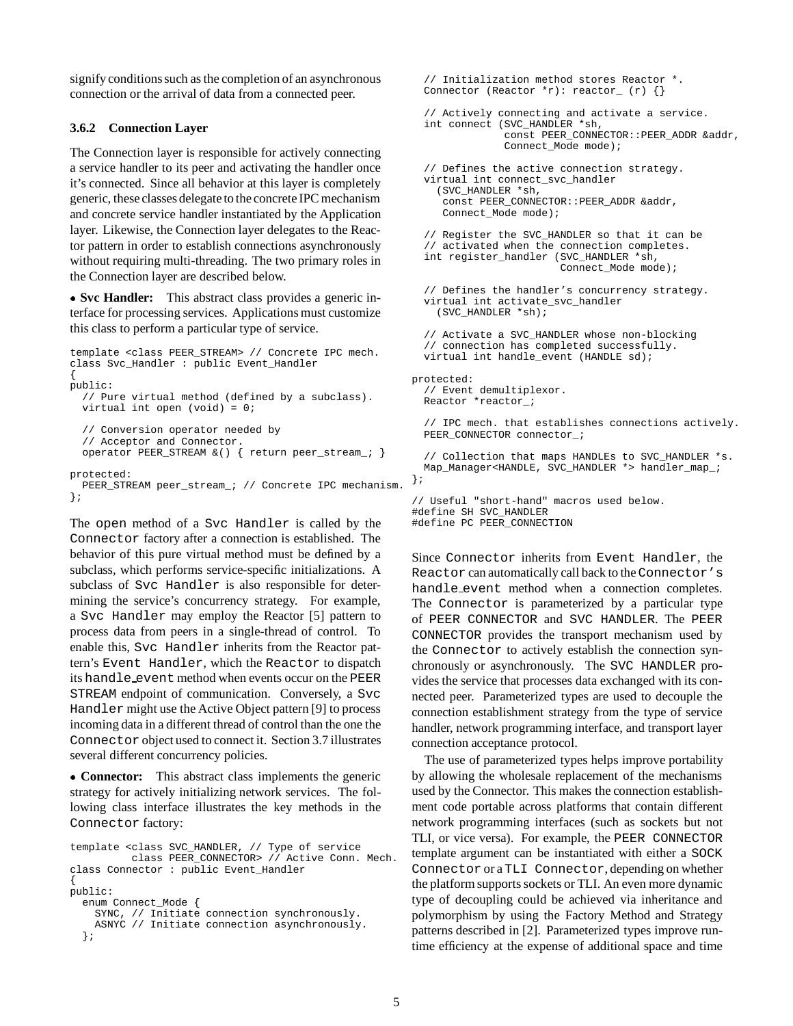signify conditions such as the completion of an asynchronous connection or the arrival of data from a connected peer.

#### **3.6.2 Connection Layer**

The Connection layer is responsible for actively connecting a service handler to its peer and activating the handler once it's connected. Since all behavior at this layer is completely generic, these classes delegate to the concrete IPC mechanism and concrete service handler instantiated by the Application layer. Likewise, the Connection layer delegates to the Reactor pattern in order to establish connections asynchronously without requiring multi-threading. The two primary roles in the Connection layer are described below.

 **Svc Handler:** This abstract class provides a generic interface for processing services. Applications must customize this class to perform a particular type of service.

```
template <class PEER_STREAM> // Concrete IPC mech.
class Svc_Handler : public Event_Handler
{
public:
  // Pure virtual method (defined by a subclass).
 virtual int open (void) = 0;
  // Conversion operator needed by
  // Acceptor and Connector.
  operator PEER_STREAM &() { return peer_stream_; }
protected:
 PEER_STREAM peer_stream_; // Concrete IPC mechanism.
};
```
The open method of a Svc Handler is called by the Connector factory after a connection is established. The behavior of this pure virtual method must be defined by a subclass, which performs service-specific initializations. A subclass of Svc Handler is also responsible for determining the service's concurrency strategy. For example, a Svc Handler may employ the Reactor [5] pattern to process data from peers in a single-thread of control. To enable this, Svc Handler inherits from the Reactor pattern's Event Handler, which the Reactor to dispatch its handle event method when events occur on the PEER STREAM endpoint of communication. Conversely, a Svc Handler might use the Active Object pattern [9] to process incoming data in a different thread of control than the one the Connector object used to connect it. Section 3.7 illustrates several different concurrency policies.

 **Connector:** This abstract class implements the generic strategy for actively initializing network services. The following class interface illustrates the key methods in the Connector factory:

```
template <class SVC_HANDLER, // Type of service
         class PEER_CONNECTOR> // Active Conn. Mech.
class Connector : public Event_Handler
{
public:
  enum Connect_Mode {
   SYNC, // Initiate connection synchronously.
    ASNYC // Initiate connection asynchronously.
  };
```

```
// Initialization method stores Reactor *.
  Connector (Reactor \pi): reactor (r) {}
  // Actively connecting and activate a service.
  int connect (SVC_HANDLER *sh,
               const PEER CONNECTOR::PEER ADDR &addr,
               Connect_Mode mode);
  // Defines the active connection strategy.
 virtual int connect_svc_handler
    (SVC_HANDLER *sh,
    const PEER_CONNECTOR::PEER_ADDR &addr,
    Connect Mode mode);
  // Register the SVC_HANDLER so that it can be
  // activated when the connection completes.
  int register_handler (SVC_HANDLER *sh,
                        Connect_Mode mode);
  // Defines the handler's concurrency strategy.
 virtual int activate_svc_handler
    (SVC_HANDLER *sh);
  // Activate a SVC_HANDLER whose non-blocking
  // connection has completed successfully.
 virtual int handle_event (HANDLE sd);
protected:
  // Event demultiplexor.
 Reactor *reactor_;
  // IPC mech. that establishes connections actively.
 PEER CONNECTOR connector ;
  // Collection that maps HANDLEs to SVC_HANDLER *s.
 Map_Manager<HANDLE, SVC_HANDLER *> handler_map_;
};
// Useful "short-hand" macros used below.
#define SH SVC_HANDLER
```

```
#define PC PEER_CONNECTION
```
Since Connector inherits from Event Handler, the Reactor can automatically call back to the Connector's handle event method when a connection completes. The Connector is parameterized by a particular type of PEER CONNECTOR and SVC HANDLER. The PEER CONNECTOR provides the transport mechanism used by the Connector to actively establish the connection synchronously or asynchronously. The SVC HANDLER provides the service that processes data exchanged with its connected peer. Parameterized types are used to decouple the connection establishment strategy from the type of service handler, network programming interface, and transport layer connection acceptance protocol.

The use of parameterized types helps improve portability by allowing the wholesale replacement of the mechanisms used by the Connector. This makes the connection establishment code portable across platforms that contain different network programming interfaces (such as sockets but not TLI, or vice versa). For example, the PEER CONNECTOR template argument can be instantiated with either a SOCK Connector or a TLI Connector, depending on whether the platform supports sockets or TLI. An even more dynamic type of decoupling could be achieved via inheritance and polymorphism by using the Factory Method and Strategy patterns described in [2]. Parameterized types improve runtime efficiency at the expense of additional space and time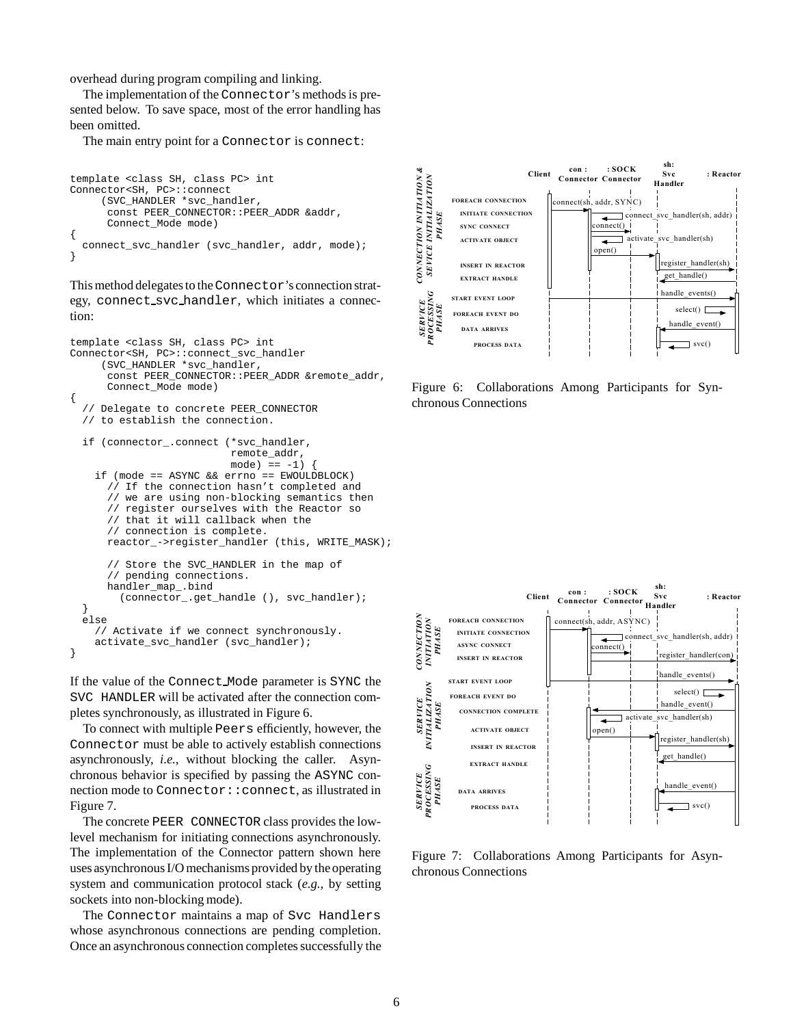overhead during program compiling and linking.

The implementation of the Connector's methods is presented below. To save space, most of the error handling has been omitted.

The main entry point for a Connector is connect:

```
template <class SH, class PC> int
Connector<SH, PC>::connect
     (SVC_HANDLER *svc_handler,
      const PEER_CONNECTOR::PEER_ADDR &addr,
      Connect_Mode mode)
{
  connect_svc_handler (svc_handler, addr, mode);
}
```
This method delegates to the Connector's connection strategy, connect svc handler, which initiates a connection:

```
template <class SH, class PC> int
Connector<SH, PC>::connect_svc_handler
     (SVC_HANDLER *svc_handler,
      const PEER_CONNECTOR::PEER_ADDR &remote_addr,
      Connect_Mode mode)
{
  // Delegate to concrete PEER_CONNECTOR
  // to establish the connection.
  if (connector_.connect (*svc_handler,
                          remote_addr,
                          mode) == -1)if (mode == ASYNC && errno == EWOULDBLOCK)
      // If the connection hasn't completed and
      // we are using non-blocking semantics then
      // register ourselves with the Reactor so
      // that it will callback when the
      // connection is complete.
      reactor_->register_handler (this, WRITE_MASK);
      // Store the SVC_HANDLER in the map of
      // pending connections.
      handler_map_.bind
        (connector_.get_handle (), svc_handler);
  }
  else
    // Activate if we connect synchronously.
    activate_svc_handler (svc_handler);
}
```
If the value of the Connect Mode parameter is SYNC the SVC HANDLER will be activated after the connection completes synchronously, as illustrated in Figure 6.

To connect with multiple Peers efficiently, however, the Connector must be able to actively establish connections asynchronously, *i.e.,* without blocking the caller. Asynchronous behavior is specified by passing the ASYNC connection mode to Connector::connect, as illustrated in Figure 7.

The concrete PEER CONNECTOR class provides the lowlevel mechanism for initiating connections asynchronously. The implementation of the Connector pattern shown here uses asynchronous I/O mechanisms provided by the operating system and communication protocol stack (*e.g.,* by setting sockets into non-blocking mode).

The Connector maintains a map of Svc Handlers whose asynchronous connections are pending completion. Once an asynchronous connection completes successfully the



Figure 6: Collaborations Among Participants for Synchronous Connections



Figure 7: Collaborations Among Participants for Asynchronous Connections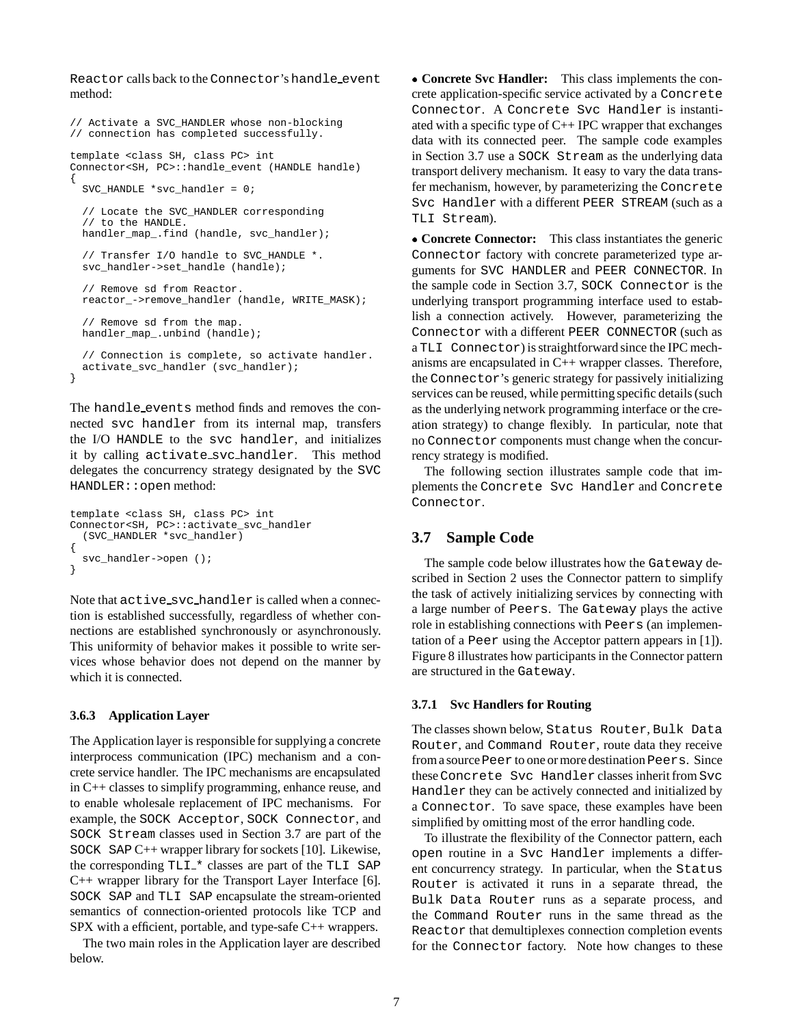Reactor calls back to the Connector's handle event method:

```
// Activate a SVC_HANDLER whose non-blocking
// connection has completed successfully.
template <class SH, class PC> int
Connector<SH, PC>::handle event (HANDLE handle)
{
  SVC HANDLE *svc handler = 0;
  // Locate the SVC_HANDLER corresponding
  // to the HANDLE.
 handler_map_.find (handle, svc_handler);
  // Transfer I/O handle to SVC_HANDLE *.
  svc_handler->set_handle (handle);
  // Remove sd from Reactor.
  reactor_->remove_handler (handle, WRITE_MASK);
  // Remove sd from the map.
 handler_map_.unbind (handle);
  // Connection is complete, so activate handler.
 activate_svc_handler (svc_handler);
}
```
The handle events method finds and removes the connected svc handler from its internal map, transfers the I/O HANDLE to the svc handler, and initializes it by calling activate svc handler. This method delegates the concurrency strategy designated by the SVC HANDLER::open method:

```
template <class SH, class PC> int
Connector<SH, PC>::activate_svc_handler
  (SVC_HANDLER *svc_handler)
{
  svc handler->open ();
}
```
Note that  $active\_src\_handler$  is called when a connection is established successfully, regardless of whether connections are established synchronously or asynchronously. This uniformity of behavior makes it possible to write services whose behavior does not depend on the manner by which it is connected.

#### **3.6.3 Application Layer**

The Application layer is responsible for supplying a concrete interprocess communication (IPC) mechanism and a concrete service handler. The IPC mechanisms are encapsulated in C++ classes to simplify programming, enhance reuse, and to enable wholesale replacement of IPC mechanisms. For example, the SOCK Acceptor, SOCK Connector, and SOCK Stream classes used in Section 3.7 are part of the SOCK SAP C++ wrapper library for sockets [10]. Likewise, the corresponding TLI\_\* classes are part of the TLI SAP C++ wrapper library for the Transport Layer Interface [6]. SOCK SAP and TLI SAP encapsulate the stream-oriented semantics of connection-oriented protocols like TCP and SPX with a efficient, portable, and type-safe C++ wrappers.

The two main roles in the Application layer are described below.

 **Concrete Svc Handler:** This class implements the concrete application-specific service activated by a Concrete Connector. A Concrete Svc Handler is instantiated with a specific type of  $C_{++}$  IPC wrapper that exchanges data with its connected peer. The sample code examples in Section 3.7 use a SOCK Stream as the underlying data transport delivery mechanism. It easy to vary the data transfer mechanism, however, by parameterizing the Concrete Svc Handler with a different PEER STREAM (such as a TLI Stream).

 **Concrete Connector:** This class instantiates the generic Connector factory with concrete parameterized type arguments for SVC HANDLER and PEER CONNECTOR. In the sample code in Section 3.7, SOCK Connector is the underlying transport programming interface used to establish a connection actively. However, parameterizing the Connector with a different PEER CONNECTOR (such as a TLI Connector) is straightforward since the IPC mechanisms are encapsulated in C++ wrapper classes. Therefore, the Connector's generic strategy for passively initializing services can be reused, while permitting specific details (such as the underlying network programming interface or the creation strategy) to change flexibly. In particular, note that no Connector components must change when the concurrency strategy is modified.

The following section illustrates sample code that implements the Concrete Svc Handler and Concrete Connector.

#### **3.7 Sample Code**

The sample code below illustrates how the Gateway described in Section 2 uses the Connector pattern to simplify the task of actively initializing services by connecting with a large number of Peers. The Gateway plays the active role in establishing connections with Peers (an implementation of a Peer using the Acceptor pattern appears in [1]). Figure 8 illustrates how participants in the Connector pattern are structured in the Gateway.

#### **3.7.1 Svc Handlers for Routing**

The classes shown below, Status Router, Bulk Data Router, and Command Router, route data they receive from a source Peer to one or more destination Peers. Since these Concrete Svc Handler classes inherit from Svc Handler they can be actively connected and initialized by a Connector. To save space, these examples have been simplified by omitting most of the error handling code.

To illustrate the flexibility of the Connector pattern, each open routine in a Svc Handler implements a different concurrency strategy. In particular, when the Status Router is activated it runs in a separate thread, the Bulk Data Router runs as a separate process, and the Command Router runs in the same thread as the Reactor that demultiplexes connection completion events for the Connector factory. Note how changes to these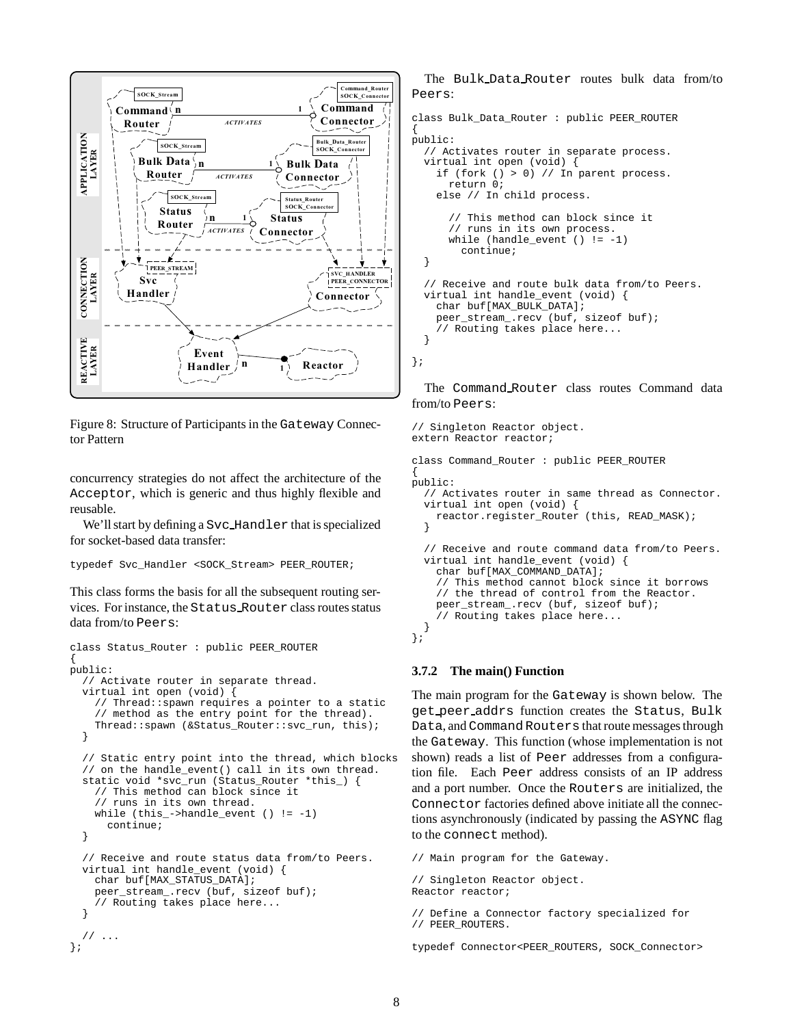

Figure 8: Structure of Participants in the Gateway Connector Pattern

concurrency strategies do not affect the architecture of the Acceptor, which is generic and thus highly flexible and reusable.

We'll start by defining a Svc Handler that is specialized for socket-based data transfer:

```
typedef Svc_Handler <SOCK_Stream> PEER_ROUTER;
```
This class forms the basis for all the subsequent routing services. For instance, the Status Router class routes status data from/to Peers:

```
class Status_Router : public PEER_ROUTER
{
public:
  // Activate router in separate thread.
  virtual int open (void) {
    // Thread::spawn requires a pointer to a static
    // method as the entry point for the thread).
    Thread::spawn (&Status_Router::svc_run, this);
  }
  // Static entry point into the thread, which blocks
  // on the handle_event() call in its own thread.
  static void *svc_run (Status_Router *this_) {
    // This method can block since it
    // runs in its own thread.
    while (this_-\text{-}handle\_event () != -1)continue;
  }
  // Receive and route status data from/to Peers.
  virtual int handle_event (void) {
    char buf[MAX_STATUS_DATA];
    peer_stream_.recv (buf, sizeof buf);
    // Routing takes place here...
  }
  // ...
};
```
The Bulk Data Router routes bulk data from/to Peers:

```
class Bulk_Data_Router : public PEER_ROUTER
{
public:
  // Activates router in separate process.
  virtual int open (void) {
    if (fork () > 0) // In parent process.
      return 0;
    else // In child process.
      // This method can block since it
      // runs in its own process.
      while (handle event () != -1)
        continue;
  }
  // Receive and route bulk data from/to Peers.
  virtual int handle_event (void) {
    char buf[MAX_BULK_DATA];
    peer_stream_.recv (buf, sizeof buf);
    // Routing takes place here...
  }
};
```
The Command Router class routes Command data from/to Peers:

```
// Singleton Reactor object.
extern Reactor reactor;
class Command_Router : public PEER_ROUTER
{
public:
  // Activates router in same thread as Connector.
  virtual int open (void) {
    reactor.register_Router (this, READ_MASK);
  }
  // Receive and route command data from/to Peers.
  virtual int handle_event (void) {
    char buf[MAX_COMMAND_DATA];
    // This method cannot block since it borrows
    // the thread of control from the Reactor.
    peer_stream_.recv (buf, sizeof buf);
    // Routing takes place here...
  }
};
```
#### **3.7.2 The main() Function**

The main program for the Gateway is shown below. The get peer addrs function creates the Status, Bulk Data, and Command Routers that route messages through the Gateway. This function (whose implementation is not shown) reads a list of Peer addresses from a configuration file. Each Peer address consists of an IP address and a port number. Once the Routers are initialized, the Connector factories defined above initiate all the connections asynchronously (indicated by passing the ASYNC flag to the connect method).

// Main program for the Gateway. // Singleton Reactor object. Reactor reactor; // Define a Connector factory specialized for // PEER\_ROUTERS.

typedef Connector<PEER\_ROUTERS, SOCK\_Connector>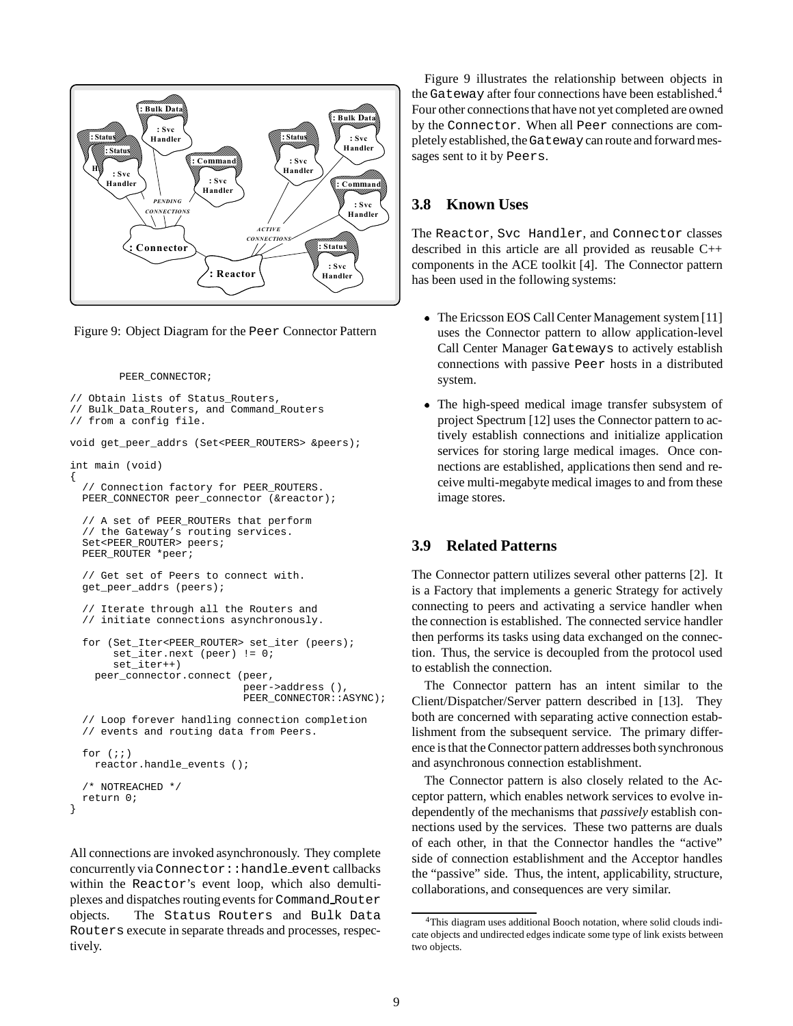

Figure 9: Object Diagram for the Peer Connector Pattern

PEER\_CONNECTOR;

```
// Obtain lists of Status_Routers,
// Bulk_Data_Routers, and Command_Routers
// from a config file.
void get_peer_addrs (Set<PEER_ROUTERS> &peers);
int main (void)
{
  // Connection factory for PEER_ROUTERS.
  PEER_CONNECTOR peer_connector (&reactor);
  // A set of PEER_ROUTERs that perform
  // the Gateway's routing services.
  Set<PEER_ROUTER> peers;
  PEER_ROUTER *peer;
  // Get set of Peers to connect with.
  get_peer_addrs (peers);
  // Iterate through all the Routers and
  // initiate connections asynchronously.
  for (Set_Iter<PEER_ROUTER> set_iter (peers);
       set_iter.next (peer) != 0;
       set_iter++)
    peer_connector.connect (peer,
                            peer->address (),
                            PEER_CONNECTOR::ASYNC);
  // Loop forever handling connection completion
  // events and routing data from Peers.
  for (i; j)reactor.handle_events ();
  /* NOTREACHED */
  return 0;
```
}

All connections are invoked asynchronously. They complete concurrently via Connector:: handle event callbacks within the Reactor's event loop, which also demultiplexes and dispatches routing events for Command Router objects. The Status Routers and Bulk Data Routers execute in separate threads and processes, respectively.

Figure 9 illustrates the relationship between objects in the Gateway after four connections have been established.<sup>4</sup> Four other connections that have not yet completed are owned by the Connector. When all Peer connections are completely established, theGatewaycan route and forward messages sent to it by Peers.

# **3.8 Known Uses**

The Reactor, Svc Handler, and Connector classes described in this article are all provided as reusable C++ components in the ACE toolkit [4]. The Connector pattern has been used in the following systems:

- The Ericsson EOS Call Center Management system [11] uses the Connector pattern to allow application-level Call Center Manager Gateways to actively establish connections with passive Peer hosts in a distributed system.
- The high-speed medical image transfer subsystem of project Spectrum [12] uses the Connector pattern to actively establish connections and initialize application services for storing large medical images. Once connections are established, applications then send and receive multi-megabyte medical images to and from these image stores.

## **3.9 Related Patterns**

The Connector pattern utilizes several other patterns [2]. It is a Factory that implements a generic Strategy for actively connecting to peers and activating a service handler when the connection is established. The connected service handler then performs its tasks using data exchanged on the connection. Thus, the service is decoupled from the protocol used to establish the connection.

The Connector pattern has an intent similar to the Client/Dispatcher/Server pattern described in [13]. They both are concerned with separating active connection establishment from the subsequent service. The primary difference is that the Connector pattern addresses both synchronous and asynchronous connection establishment.

The Connector pattern is also closely related to the Acceptor pattern, which enables network services to evolve independently of the mechanisms that *passively* establish connections used by the services. These two patterns are duals of each other, in that the Connector handles the "active" side of connection establishment and the Acceptor handles the "passive" side. Thus, the intent, applicability, structure, collaborations, and consequences are very similar.

<sup>4</sup>This diagram uses additional Booch notation, where solid clouds indicate objects and undirected edges indicate some type of link exists between two objects.